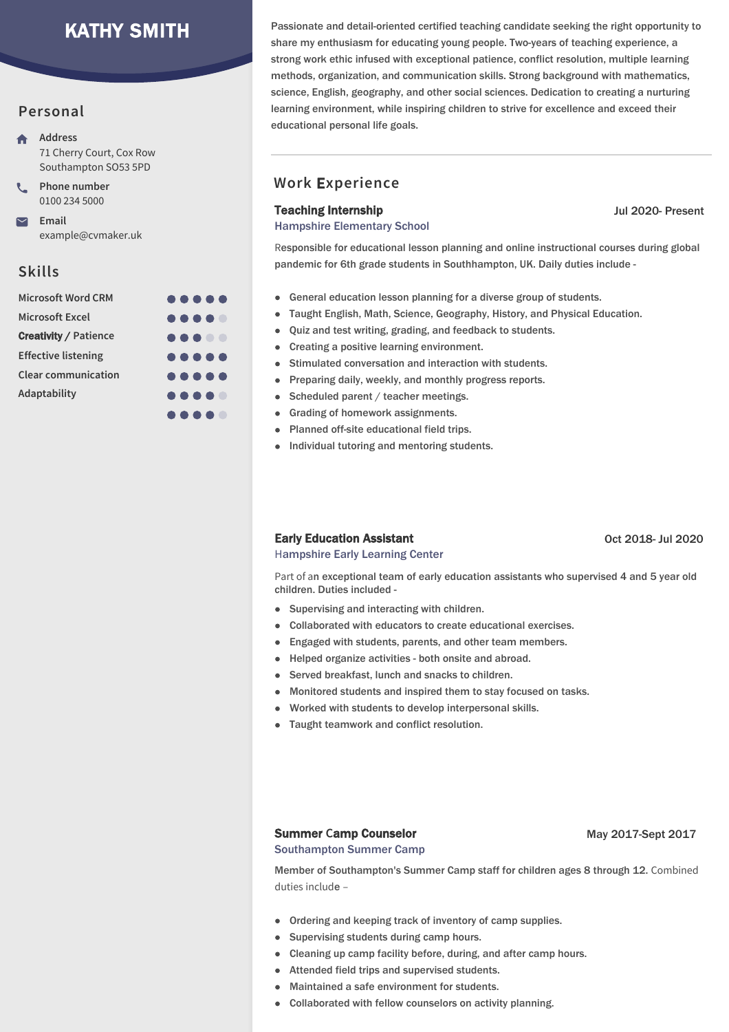# KATHY SMITH

### **Personal**

- **Address** 71 Cherry Court, Cox Row Southampton SO53 5PD
- **Phone number** 0100 234 5000

**Email** example@cvmaker.uk

## **Skills**

| <b>Microsoft Word CRM</b>    | $\begin{array}{ccccccccccccccccc} \bullet & \bullet & \bullet & \bullet & \bullet & \bullet & \bullet \end{array}$ |
|------------------------------|--------------------------------------------------------------------------------------------------------------------|
| <b>Microsoft Excel</b>       |                                                                                                                    |
| <b>Creativity / Patience</b> |                                                                                                                    |
| <b>Effective listening</b>   | $\begin{array}{ccccccccccccccccc} \bullet & \bullet & \bullet & \bullet & \bullet & \bullet & \bullet \end{array}$ |
| <b>Clear communication</b>   | $\begin{array}{ccccccccccccccccc} \bullet & \bullet & \bullet & \bullet & \bullet & \bullet & \bullet \end{array}$ |
| Adaptability                 |                                                                                                                    |
|                              | .                                                                                                                  |

Passionate and detail-oriented certified teaching candidate seeking the right opportunity to share my enthusiasm for educating young people. Two-years of teaching experience, a strong work ethic infused with exceptional patience, conflict resolution, multiple learning methods, organization, and communication skills. Strong background with mathematics, science, English, geography, and other social sciences. Dedication to creating a nurturing learning environment, while inspiring children to strive for excellence and exceed their educational personal life goals.

## **Work** E**xperience**

#### Teaching Internship

Hampshire Elementary School

Jul 2020- Present

Responsible for educational lesson planning and online instructional courses during global pandemic for 6th grade students in Southhampton, UK. Daily duties include -

- General education lesson planning for a diverse group of students.
- Taught English, Math, Science, Geography, History, and Physical Education.
- Ouiz and test writing, grading, and feedback to students.
- Creating a positive learning environment.
- Stimulated conversation and interaction with students.
- Preparing daily, weekly, and monthly progress reports.
- Scheduled parent / teacher meetings.
- Grading of homework assignments.
- Planned off-site educational field trips.
- Individual tutoring and mentoring students.

#### Early Education Assistant

Oct 2018- Jul 2020

Hampshire Early Learning Center

Part of an exceptional team of early education assistants who supervised 4 and 5 year old children. Duties included -

- Supervising and interacting with children.
- Collaborated with educators to create educational exercises.
- $\bullet$ Engaged with students, parents, and other team members.
- Helped organize activities both onsite and abroad.
- Served breakfast, lunch and snacks to children.
- Monitored students and inspired them to stay focused on tasks.
- Worked with students to develop interpersonal skills.
- Taught teamwork and conflict resolution.

#### Summer **C**amp Counselor

#### May 2017-Sept 2017

Southampton Summer Camp

Member of Southampton's Summer Camp staff for children ages 8 through 12. Combined duties include –

- Ordering and keeping track of inventory of camp supplies.
- Supervising students during camp hours.
- Cleaning up camp facility before, during, and after camp hours.
- Attended field trips and supervised students.
- Maintained a safe environment for students.
- Collaborated with fellow counselors on activity planning.